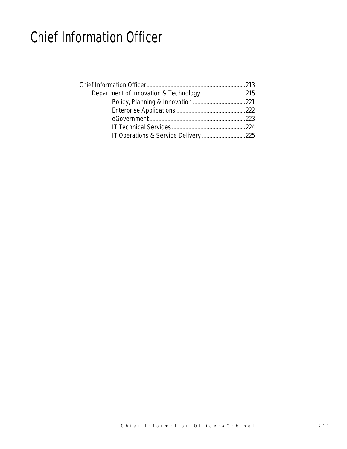## Chief Information Officer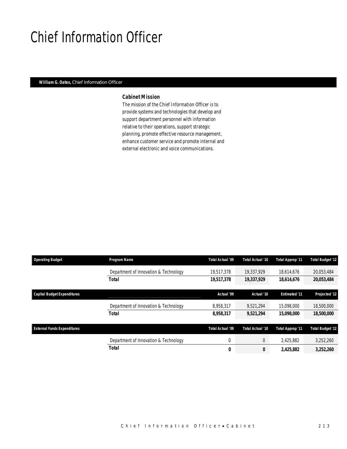## Chief Information Officer

### *William G. Oates, Chief Information Officer*

### *Cabinet Mission*

The mission of the Chief Information Officer is to provide systems and technologies that develop and support department personnel with information relative to their operations, support strategic planning, promote effective resource management, enhance customer service and promote internal and external electronic and voice communications.

| <b>Operating Budget</b>            | Program Name                          | Total Actual '09 | Total Actual '10 | <b>Total Approp '11</b> | <b>Total Budget '12</b> |
|------------------------------------|---------------------------------------|------------------|------------------|-------------------------|-------------------------|
|                                    | Department of Innovation & Technology | 19,517,378       | 19.337.929       | 18.614.676              | 20,053,484              |
|                                    | <b>Total</b>                          | 19,517,378       | 19,337,929       | 18,614,676              | 20,053,484              |
| <b>Capital Budget Expenditures</b> |                                       | Actual '09       | Actual '10       | <b>Estimated '11</b>    | Projected '12           |
|                                    | Department of Innovation & Technology | 8,958,317        | 9,521,294        | 15,098,000              | 18,500,000              |
|                                    | <b>Total</b>                          | 8,958,317        | 9,521,294        | 15,098,000              | 18,500,000              |
| <b>External Funds Expenditures</b> |                                       | Total Actual '09 | Total Actual '10 | <b>Total Approp '11</b> | <b>Total Budget '12</b> |
|                                    | Department of Innovation & Technology | $\mathbf 0$      | $\theta$         | 2.425.882               | 3,252,260               |
|                                    | <b>Total</b>                          | 0                | 0                | 2.425.882               | 3,252,260               |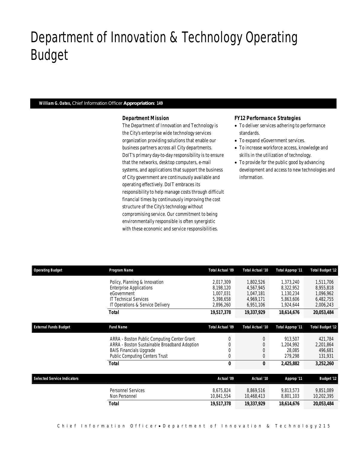## Department of Innovation & Technology Operating Budget

### *William G. Oates, Chief Information Officer Appropriation: 149*

Department of Innovation & Technology

### *Department Mission*

The Department of Innovation and Technology is the City's enterprise wide technology services organization providing solutions that enable our business partners across all City departments. DoIT's primary day-to-day responsibility is to ensure that the networks, desktop computers, e-mail systems, and applications that support the business of City government are continuously available and operating effectively. DoIT embraces its responsibility to help manage costs through difficult financial times by continuously improving the cost structure of the City's technology without compromising service. Our commitment to being environmentally responsible is often synergistic with these economic and service responsibilities.

### *FY12 Performance Strategies*

- To deliver services adhering to performance standards.
- To expand eGovernment services.
- To increase workforce access, knowledge and skills in the utilization of technology.
- To provide for the public good by advancing development and access to new technologies and information.

| <b>Operating Budget</b>            | Program Name                                 | <b>Total Actual '09</b> | Total Actual '10 | Total Approp '11 | <b>Total Budget '12</b> |
|------------------------------------|----------------------------------------------|-------------------------|------------------|------------------|-------------------------|
|                                    | Policy, Planning & Innovation                | 2.017.309               | 1,802,526        | 1,373,240        | 1,511,706               |
|                                    | <b>Enterprise Applications</b>               | 8,198,120               | 4,567,945        | 8,322,952        | 8,955,818               |
|                                    | eGovernment                                  | 1.007.031               | 1,047,181        | 1,130,234        | 1,096,962               |
|                                    | <b>IT Technical Services</b>                 | 5,398,658               | 4,969,171        | 5,863,606        | 6,482,755               |
|                                    | IT Operations & Service Delivery             | 2,896,260               | 6,951,106        | 1,924,644        | 2,006,243               |
|                                    | <b>Total</b>                                 | 19,517,378              | 19,337,929       | 18,614,676       | 20,053,484              |
|                                    |                                              |                         |                  |                  |                         |
| <b>External Funds Budget</b>       | <b>Fund Name</b>                             | Total Actual '09        | Total Actual '10 | Total Approp '11 | <b>Total Budget '12</b> |
|                                    | ARRA - Boston Public Computing Center Grant  | 0                       | 0                | 913,507          | 421,784                 |
|                                    | ARRA - Boston Sustainable Broadband Adoption | $\Omega$                | 0                | 1,204,992        | 2,201,864               |
|                                    | <b>BAIS Financials Upgrade</b>               | 0                       | $\mathbf 0$      | 28,085           | 496,681                 |
|                                    | <b>Public Computing Centers Trust</b>        | 0                       | $\Omega$         | 279,298          | 131,931                 |
|                                    | <b>Total</b>                                 | 0                       | 0                | 2,425,882        | 3,252,260               |
|                                    |                                              |                         |                  |                  |                         |
| <b>Selected Service Indicators</b> |                                              | Actual '09              | Actual '10       | Approp '11       | <b>Budget '12</b>       |
|                                    | Personnel Services                           | 8,675,824               | 8.869.516        | 9.813.573        | 9,851,089               |
|                                    | Non Personnel                                | 10,841,554              | 10,468,413       | 8,801,103        | 10,202,395              |
|                                    | <b>Total</b>                                 | 19,517,378              | 19,337,929       | 18,614,676       | 20,053,484              |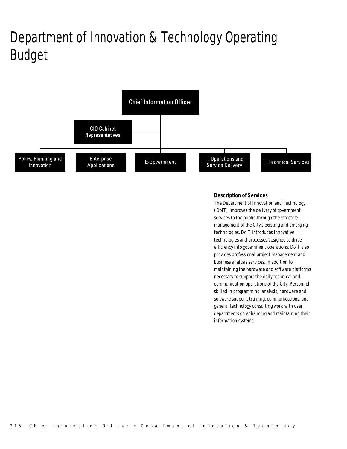# Department of Innovation & Technology Operating Budget



### *Description of Services*

The Department of Innovation and Technology (DoIT) improves the delivery of government services to the public through the effective management of the City's existing and emerging technologies. DoIT introduces innovative technologies and processes designed to drive efficiency into government operations. DoIT also provides professional project management and business analysis services, in addition to maintaining the hardware and software platforms necessary to support the daily technical and communication operations of the City. Personnel skilled in programming, analysis, hardware and software support, training, communications, and general technology consulting work with user departments on enhancing and maintaining their information systems.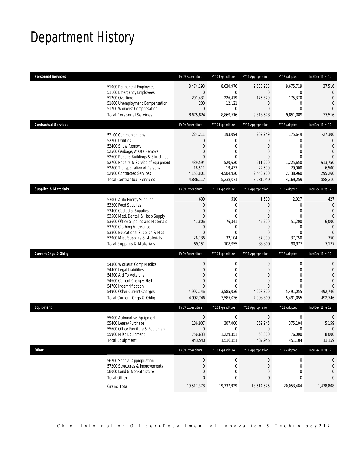## Department History

| <b>Personnel Services</b>       |                                                                                                                                                                                                                                                                                                      | FY09 Expenditure                                                                            | FY10 Expenditure                                                                                                  | FY11 Appropriation                                                                                                                 | FY12 Adopted                                                                                                                     | Inc/Dec 11 vs 12                                                                                                                 |
|---------------------------------|------------------------------------------------------------------------------------------------------------------------------------------------------------------------------------------------------------------------------------------------------------------------------------------------------|---------------------------------------------------------------------------------------------|-------------------------------------------------------------------------------------------------------------------|------------------------------------------------------------------------------------------------------------------------------------|----------------------------------------------------------------------------------------------------------------------------------|----------------------------------------------------------------------------------------------------------------------------------|
|                                 | 51000 Permanent Employees<br>51100 Emergency Employees<br>51200 Overtime<br>51600 Unemployment Compensation<br>51700 Workers' Compensation<br><b>Total Personnel Services</b>                                                                                                                        | 8,474,193<br>$\mathbf 0$<br>201,431<br>200<br>$\overline{0}$<br>8,675,824                   | 8,630,976<br>$\mathbf 0$<br>226,419<br>12,121<br>0<br>8,869,516                                                   | 9,638,203<br>$\mathbf 0$<br>175,370<br>$\mathbf 0$<br>$\overline{0}$<br>9,813,573                                                  | 9,675,719<br>0<br>175,370<br>$\mathbf 0$<br>$\mathbf{0}$<br>9,851,089                                                            | 37,516<br>$\mathbf{0}$<br>$\overline{0}$<br>$\overline{0}$<br>$\Omega$<br>37,516                                                 |
| <b>Contractual Services</b>     |                                                                                                                                                                                                                                                                                                      | FY09 Expenditure                                                                            | FY10 Expenditure                                                                                                  | FY11 Appropriation                                                                                                                 | FY12 Adopted                                                                                                                     | Inc/Dec 11 vs 12                                                                                                                 |
|                                 | 52100 Communications<br>52200 Utilities<br>52400 Snow Removal<br>52500 Garbage/Waste Removal<br>52600 Repairs Buildings & Structures<br>52700 Repairs & Service of Equipment<br>52800 Transportation of Persons<br>52900 Contracted Services<br><b>Total Contractual Services</b>                    | 224,211<br>0<br>$\overline{0}$<br>0<br>0<br>439,594<br>18,511<br>4,153,801<br>4,836,117     | 193,094<br>0<br>$\overline{0}$<br>0<br>$\theta$<br>520,620<br>19,437<br>4,504,920<br>5,238,071                    | 202,949<br>0<br>$\overline{0}$<br>$\overline{0}$<br>$\theta$<br>611,900<br>22,500<br>2,443,700<br>3,281,049                        | 175,649<br>$\mathbf{0}$<br>$\overline{0}$<br>$\mathbf{0}$<br>$\mathbf{0}$<br>1,225,650<br>29,000<br>2,738,960<br>4,169,259       | $-27,300$<br>$\mathbf{0}$<br>$\overline{0}$<br>$\overline{0}$<br>$\overline{0}$<br>613,750<br>6,500<br>295,260<br>888,210        |
| <b>Supplies &amp; Materials</b> |                                                                                                                                                                                                                                                                                                      | FY09 Expenditure                                                                            | FY10 Expenditure                                                                                                  | FY11 Appropriation                                                                                                                 | FY12 Adopted                                                                                                                     | Inc/Dec 11 vs 12                                                                                                                 |
| <b>Current Chgs &amp; Oblig</b> | 53000 Auto Energy Supplies<br>53200 Food Supplies<br>53400 Custodial Supplies<br>53500 Med, Dental, & Hosp Supply<br>53600 Office Supplies and Materials<br>53700 Clothing Allowance<br>53800 Educational Supplies & Mat<br>53900 Misc Supplies & Materials<br><b>Total Supplies &amp; Materials</b> | 609<br>0<br>0<br>$\overline{0}$<br>41,806<br>0<br>0<br>26,736<br>69,151<br>FY09 Expenditure | 510<br>0<br>$\mathbf{0}$<br>$\overline{0}$<br>76,341<br>$\mathbf 0$<br>0<br>32,104<br>108,955<br>FY10 Expenditure | 1,600<br>$\theta$<br>$\overline{0}$<br>$\theta$<br>45,200<br>$\mathbf 0$<br>$\mathbf{0}$<br>37,000<br>83,800<br>FY11 Appropriation | 2,027<br>$\mathbf 0$<br>$\mathbf 0$<br>$\mathbf{0}$<br>51,200<br>$\mathbf 0$<br>$\mathbf{0}$<br>37,750<br>90,977<br>FY12 Adopted | 427<br>$\mathbf{0}$<br>$\overline{0}$<br>$\overline{0}$<br>6,000<br>$\theta$<br>$\mathbf{0}$<br>750<br>7,177<br>Inc/Dec 11 vs 12 |
|                                 | 54300 Workers' Comp Medical<br>54400 Legal Liabilities<br>54500 Aid To Veterans<br>54600 Current Charges H&I<br>54700 Indemnification<br>54900 Other Current Charges<br>Total Current Chgs & Oblig                                                                                                   | $\boldsymbol{0}$<br>0<br>0<br>0<br>$\Omega$<br>4,992,746<br>4,992,746                       | $\mathbf 0$<br>$\overline{0}$<br>$\theta$<br>0<br>$\theta$<br>3,585,036<br>3,585,036                              | $\boldsymbol{0}$<br>$\overline{0}$<br>$\overline{0}$<br>$\overline{0}$<br>$\theta$<br>4,998,309<br>4,998,309                       | $\boldsymbol{0}$<br>$\mathbf{0}$<br>$\Omega$<br>$\mathbf{0}$<br>$\Omega$<br>5,491,055<br>5,491,055                               | $\mathbf 0$<br>$\mathbf 0$<br>$\overline{0}$<br>$\overline{0}$<br>$\Omega$<br>492,746<br>492,746                                 |
| Equipment                       |                                                                                                                                                                                                                                                                                                      | FY09 Expenditure                                                                            | FY10 Expenditure                                                                                                  | FY11 Appropriation                                                                                                                 | FY12 Adopted                                                                                                                     | Inc/Dec 11 vs 12                                                                                                                 |
|                                 | 55000 Automotive Equipment<br>55400 Lease/Purchase<br>55600 Office Furniture & Equipment<br>55900 Misc Equipment<br><b>Total Equipment</b>                                                                                                                                                           | 0<br>186,907<br>$\mathbf 0$<br>756,633<br>943,540                                           | $\mathbf 0$<br>307,000<br>$\boldsymbol{0}$<br>1,229,351<br>1,536,351                                              | $\mathbf 0$<br>369,945<br>$\theta$<br>68,000<br>437,945                                                                            | $\mathbf 0$<br>375,104<br>0<br>76,000<br>451,104                                                                                 | $\theta$<br>5,159<br>$\overline{0}$<br>8,000<br>13,159                                                                           |
| Other                           |                                                                                                                                                                                                                                                                                                      | FY09 Expenditure                                                                            | FY10 Expenditure                                                                                                  | FY11 Appropriation                                                                                                                 | FY12 Adopted                                                                                                                     | Inc/Dec 11 vs 12                                                                                                                 |
|                                 | 56200 Special Appropriation<br>57200 Structures & Improvements<br>58000 Land & Non-Structure<br><b>Total Other</b>                                                                                                                                                                                   | $\boldsymbol{0}$<br>0<br>0<br>0                                                             | 0<br>$\mathbf 0$<br>0<br>0                                                                                        | $\overline{0}$<br>$\theta$<br>0<br>0                                                                                               | $\boldsymbol{0}$<br>$\mathbf 0$<br>$\mathbf{0}$<br>0                                                                             | 0<br>0<br>0<br>0                                                                                                                 |
|                                 | <b>Grand Total</b>                                                                                                                                                                                                                                                                                   | 19,517,378                                                                                  | 19,337,929                                                                                                        | 18,614,676                                                                                                                         | 20,053,484                                                                                                                       | 1,438,808                                                                                                                        |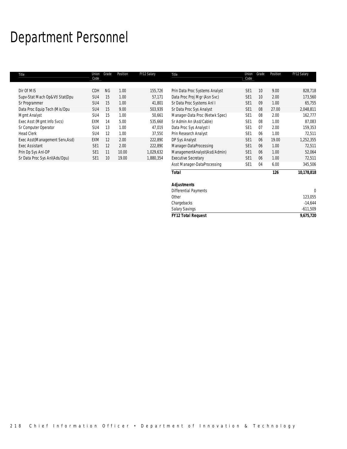## Department Personnel

| Title                           | Union<br>Code   | Grade           | Position | FY12 Salary | Title                          | Union<br>Code   | Grade           | Position | FY12 Salary |
|---------------------------------|-----------------|-----------------|----------|-------------|--------------------------------|-----------------|-----------------|----------|-------------|
| Dir Of MIS                      | CDH             | <b>NG</b>       | 1.00     | 155,726     | Prin Data Proc Systems Analyst | SE <sub>1</sub> | 10              | 9.00     | 828,718     |
| Supv-Stat Mach Op&Vtl Stat(Dpu  | SU <sub>4</sub> | 15              | 1.00     | 57,171      | Data Proc Proj Mgr (Asn Svc)   | SE <sub>1</sub> | 10 <sup>°</sup> | 2.00     | 173,560     |
| Sr Programmer                   | SU <sub>4</sub> | 15              | 1.00     | 41,801      | Sr Data Proc Systems Anl I     | SE <sub>1</sub> | 09              | 1.00     | 65,755      |
| Data Proc Equip Tech (Mis/Dpu   | SU <sub>4</sub> | 15              | 9.00     | 503,939     | Sr Data Proc Sys Analyst       | SE <sub>1</sub> | 08              | 27.00    | 2,048,811   |
| Mgmt Analyst                    | SU4             | 15              | 1.00     | 50,661      | Manager-Data Proc (Netwk Spec) | SE <sub>1</sub> | 08              | 2.00     | 162,777     |
| Exec Asst (Mgmt Info Svcs)      | EXM             | 14              | 5.00     | 535.668     | Sr Admin An (Asd/Cable)        | SE <sub>1</sub> | 08              | 1.00     | 87.083      |
| Sr Computer Operator            | SU <sub>4</sub> | 13              | 1.00     | 47.019      | Data Proc Sys Analyst I        | SE <sub>1</sub> | 07              | 2.00     | 159,353     |
| <b>Head Clerk</b>               | SU <sub>4</sub> | 12              | 1.00     | 37.550      | Prin Research Analyst          | SE <sub>1</sub> | 06              | 1.00     | 72.511      |
| Exec Asst(Management Serv, Asd) | <b>EXM</b>      | 12              | 2.00     | 222,890     | DP Sys Analyst                 | SE <sub>1</sub> | 06              | 19.00    | 1,252,355   |
| <b>Exec Assistant</b>           | SF <sub>1</sub> | 12              | 2.00     | 222,890     | Manager-DataProcessing         | SE <sub>1</sub> | 06              | 1.00     | 72,511      |
| Prin Dp Sys Anl-DP              | SE <sub>1</sub> | 11              | 10.00    | 1,029,632   | ManagementAnalyst(Asd/Admin)   | SE <sub>1</sub> | 06              | 1.00     | 52,064      |
| Sr Data Proc Sys AnI(Ads/Dpu)   | SE <sub>1</sub> | 10 <sup>°</sup> | 19.00    | 1,880,354   | <b>Executive Secretary</b>     | SE <sub>1</sub> | 06              | 1.00     | 72.511      |
|                                 |                 |                 |          |             | Asst Manager-DataProcessing    | SE <sub>1</sub> | 04              | 6.00     | 345,506     |

| ັ<br>ັ                       |     |            |
|------------------------------|-----|------------|
| <b>Total</b>                 | 126 | 10,178,818 |
| <b>Adjustments</b>           |     |            |
| <b>Differential Payments</b> |     | υ          |
| Other                        |     | 123,055    |
| Chargebacks                  |     | $-14,644$  |
| <b>Salary Savings</b>        |     | $-611,509$ |
| <b>FY12 Total Request</b>    |     | 9,675,720  |
|                              |     |            |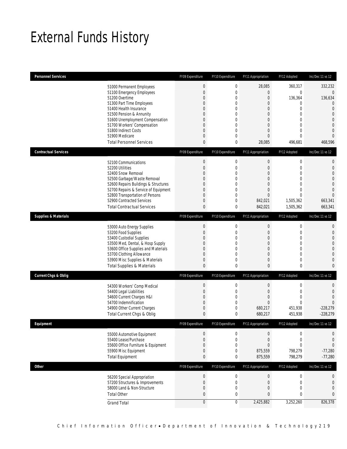## External Funds History

| <b>Personnel Services</b>                                                    | FY09 Expenditure              | FY10 Expenditure            | FY11 Appropriation    | FY12 Adopted                | Inc/Dec 11 vs 12                 |
|------------------------------------------------------------------------------|-------------------------------|-----------------------------|-----------------------|-----------------------------|----------------------------------|
| 51000 Permanent Employees                                                    | $\boldsymbol{0}$              | $\boldsymbol{0}$            | 28,085                | 360,317                     | 332,232                          |
| 51100 Emergency Employees                                                    | $\boldsymbol{0}$              | $\mathbf 0$                 | 0                     | $\mathbf{0}$                | $\overline{0}$                   |
| 51200 Overtime                                                               | $\mathbf 0$                   | 0                           | $\boldsymbol{0}$      | 136,364                     | 136,634                          |
| 51300 Part Time Employees                                                    | 0                             | 0                           | 0                     | $\mathbf{0}$                | $\mathbf{0}$                     |
| 51400 Health Insurance<br>51500 Pension & Annunity                           | $\Omega$<br>0                 | 0<br>0                      | 0<br>0                | $\mathbf{0}$<br>$\mathbf 0$ | $\overline{0}$<br>$\overline{0}$ |
| 51600 Unemployment Compensation                                              | 0                             | 0                           | $\overline{0}$        | $\mathbf{0}$                | $\overline{0}$                   |
| 51700 Workers' Compensation                                                  | $\mathbf 0$                   | $\overline{0}$              | $\overline{0}$        | $\mathbf{0}$                | $\overline{0}$                   |
| 51800 Indirect Costs                                                         | 0                             | 0                           | 0                     | $\mathbf{0}$                | $\overline{0}$                   |
| 51900 Medicare                                                               | $\mathbf 0$                   | 0                           | $\overline{0}$        | $\overline{0}$              | $\Omega$                         |
| <b>Total Personnel Services</b>                                              | 0                             | 0                           | 28,085                | 496,681                     | 468,596                          |
| <b>Contractual Services</b>                                                  | FY09 Expenditure              | FY10 Expenditure            | FY11 Appropriation    | FY12 Adopted                | Inc/Dec 11 vs 12                 |
| 52100 Communications                                                         | $\boldsymbol{0}$              | $\boldsymbol{0}$            | $\boldsymbol{0}$      | $\boldsymbol{0}$            | $\mathbf 0$                      |
| 52200 Utilities                                                              | $\boldsymbol{0}$              | $\mathbf 0$                 | $\boldsymbol{0}$      | $\mathbf 0$                 | $\mathbf 0$                      |
| 52400 Snow Removal                                                           | $\Omega$                      | 0                           | $\overline{0}$        | $\overline{0}$              | $\overline{0}$                   |
| 52500 Garbage/Waste Removal                                                  | 0                             | 0                           | 0                     | $\mathbf{0}$                | $\overline{0}$                   |
| 52600 Repairs Buildings & Structures<br>52700 Repairs & Service of Equipment | 0<br>$\mathbf 0$              | $\mathbf{0}$<br>$\mathbf 0$ | 0<br>$\boldsymbol{0}$ | $\mathbf 0$<br>$\mathbf{0}$ | $\mathbf 0$<br>$\overline{0}$    |
| 52800 Transportation of Persons                                              | 0                             | $\mathbf 0$                 | $\overline{0}$        | $\mathbf{0}$                | $\Omega$                         |
| 52900 Contracted Services                                                    | 0                             | $\mathbf 0$                 | 842,021               | 1,505,362                   | 663,341                          |
| <b>Total Contractual Services</b>                                            | $\pmb{0}$                     | 0                           | 842,021               | 1,505,362                   | 663,341                          |
| <b>Supplies &amp; Materials</b>                                              | FY09 Expenditure              | FY10 Expenditure            | FY11 Appropriation    | FY12 Adopted                | Inc/Dec 11 vs 12                 |
| 53000 Auto Energy Supplies                                                   | $\boldsymbol{0}$              | $\boldsymbol{0}$            | $\boldsymbol{0}$      | $\boldsymbol{0}$            | $\mathbf{0}$                     |
| 53200 Food Supplies                                                          | $\mathbf 0$                   | $\mathbf 0$                 | $\mathbf 0$           | $\mathbf 0$                 | $\mathbf 0$                      |
| 53400 Custodial Supplies                                                     | 0                             | 0                           | $\overline{0}$        | $\overline{0}$              | $\mathbf{0}$                     |
| 53500 Med, Dental, & Hosp Supply                                             | 0                             | $\mathbf 0$                 | $\mathbf 0$           | $\mathbf 0$                 | $\overline{0}$                   |
| 53600 Office Supplies and Materials                                          | 0                             | $\mathbf{0}$                | 0                     | $\mathbf{0}$                | $\mathbf 0$                      |
| 53700 Clothing Allowance                                                     | $\mathbf 0$                   | $\mathbf{0}$                | $\overline{0}$        | $\mathbf 0$                 | $\overline{0}$                   |
| 53900 Misc Supplies & Materials<br><b>Total Supplies &amp; Materials</b>     | 0<br>0                        | 0<br>$\mathbf 0$            | 0<br>0                | $\mathbf 0$<br>0            | $\overline{0}$<br>$\mathbf{0}$   |
|                                                                              |                               |                             |                       |                             |                                  |
| <b>Current Chgs &amp; Oblig</b>                                              | FY09 Expenditure              | FY10 Expenditure            | FY11 Appropriation    | FY12 Adopted                | Inc/Dec 11 vs 12                 |
| 54300 Workers' Comp Medical                                                  | $\boldsymbol{0}$              | $\boldsymbol{0}$            | $\mathbf 0$           | $\mathbf 0$                 | 0                                |
| 54400 Legal Liabilities                                                      | $\mathbf 0$                   | $\mathbf 0$                 | $\mathbf 0$           | $\mathbf 0$                 | $\mathbf{0}$                     |
| 54600 Current Charges H&I<br>54700 Indemnification                           | $\mathbf 0$<br>$\overline{0}$ | $\mathbf 0$<br>0            | $\overline{0}$<br>0   | $\mathbf{0}$<br>$\Omega$    | $\overline{0}$<br>$\Omega$       |
| 54900 Other Current Charges                                                  | 0                             | 0                           | 680,217               | 451,938                     | $-228,279$                       |
| Total Current Chgs & Oblig                                                   | $\mathbf{0}$                  | 0                           | 680,217               | 451,938                     | $-228,279$                       |
| Eauipment                                                                    | FY09 Expenditure              | FY10 Expenditure            | FY11 Appropriation    | FY12 Adopted                | Inc/Dec 11 vs 12                 |
|                                                                              | $\mathbf 0$                   | 0                           | $\mathbf 0$           | $\mathbf 0$                 |                                  |
| 55000 Automotive Equipment<br>55400 Lease/Purchase                           | $\boldsymbol{0}$              | 0                           | $\boldsymbol{0}$      | $\mathbf{0}$                | 0<br>$\mathbf{0}$                |
| 55600 Office Furniture & Equipment                                           | $\boldsymbol{0}$              | $\boldsymbol{0}$            | $\boldsymbol{0}$      | $\boldsymbol{0}$            | $\overline{0}$                   |
| 55900 Misc Equipment                                                         | $\boldsymbol{0}$              | 0                           | 875,559               | 798,279                     | $-77,280$                        |
| <b>Total Equipment</b>                                                       | 0                             | 0                           | 875,559               | 798,279                     | $-77,280$                        |
| <b>Other</b>                                                                 | FY09 Expenditure              | FY10 Expenditure            | FY11 Appropriation    | FY12 Adopted                | Inc/Dec 11 vs 12                 |
| 56200 Special Appropriation                                                  | $\boldsymbol{0}$              | $\boldsymbol{0}$            | $\boldsymbol{0}$      | $\boldsymbol{0}$            | $\mathbf 0$                      |
| 57200 Structures & Improvements                                              | $\boldsymbol{0}$              | $\boldsymbol{0}$            | $\boldsymbol{0}$      | $\mathbf 0$                 | $\mathbf{0}$                     |
| 58000 Land & Non-Structure                                                   | $\boldsymbol{0}$              | $\boldsymbol{0}$            | $\mathbf 0$           | $\mathbf 0$                 | $\mathbf 0$                      |
| <b>Total Other</b>                                                           | $\pmb{0}$                     | 0                           | 0                     | 0                           | $\mathbf{0}$                     |
| <b>Grand Total</b>                                                           | $\overline{0}$                | $\mathbf 0$                 | 2,425,882             | 3,252,260                   | 826,378                          |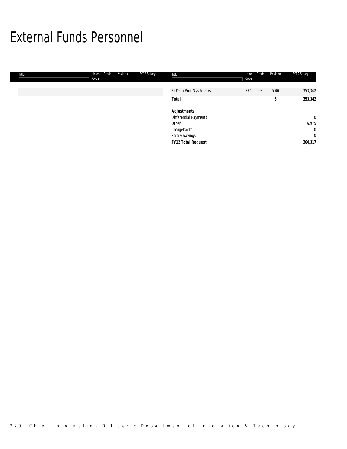## External Funds Personnel

| Title | Grade<br>Union<br>Code | Position | FY12 Salary | Title                    | Union<br>Code   | Grade | Position | FY12 Salary    |
|-------|------------------------|----------|-------------|--------------------------|-----------------|-------|----------|----------------|
|       |                        |          |             | Sr Data Proc Sys Analyst | SE <sub>1</sub> | 08    | 5.00     | 353,342        |
|       |                        |          |             | <b>Total</b>             |                 |       | 5        | 353,342        |
|       |                        |          |             | <b>Adjustments</b>       |                 |       |          |                |
|       |                        |          |             | Differential Payments    |                 |       |          | $\overline{0}$ |
|       |                        |          |             | Other                    |                 |       |          | 6,975          |
|       |                        |          |             | Chargebacks              |                 |       |          | $\mathbf{0}$   |
|       |                        |          |             | Salary Savings           |                 |       |          | $\overline{0}$ |
|       |                        |          |             | FY12 Total Request       |                 |       |          | 360,317        |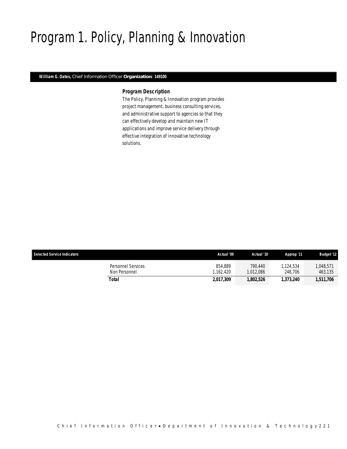## Program 1. Policy, Planning & Innovation

### *William G. Oates, Chief Information Officer Organization: 149100*

### *Program Description*

The Policy, Planning & Innovation program provides project management, business consulting services, and administrative support to agencies so that they can effectively develop and maintain new IT applications and improve service delivery through effective integration of innovative technology solutions.

| <b>Selected Service Indicators</b>  | Actual '09           | Actual '10           | Approp '11           | <b>Budget '12</b>    |
|-------------------------------------|----------------------|----------------------|----------------------|----------------------|
| Personnel Services<br>Non Personnel | 854.889<br>1.162.420 | 790.440<br>1.012.086 | 1.124.534<br>248,706 | 0.048.571<br>463,135 |
| Total                               | 2,017,309            | 1,802,526            | 1,373,240            | 1,511,706            |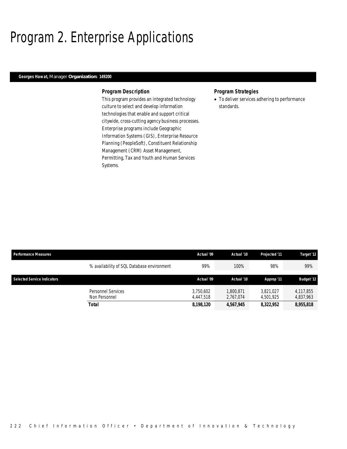## Program 2. Enterprise Applications

## *Georges Hawat, Manager Organization: 149200*

### *Program Description*

This program provides an integrated technology culture to select and develop information technologies that enable and support critical citywide, cross-cutting agency business processes. Enterprise programs include Geographic Information Systems (GIS), Enterprise Resource Planning (PeopleSoft), Constituent Relationship Management (CRM) Asset Management, Permitting, Tax and Youth and Human Services Systems.

### *Program Strategies*

• To deliver services adhering to performance standards.

| <b>Performance Measures</b>        |                                            | Actual '09             | Actual '10             | <b>Projected '11</b>   | Target '12             |
|------------------------------------|--------------------------------------------|------------------------|------------------------|------------------------|------------------------|
|                                    | % availability of SQL Database environment | 99%                    | 100%                   | 98%                    | 99%                    |
| <b>Selected Service Indicators</b> |                                            | Actual '09             | Actual '10             | Approp '11             | <b>Budget '12</b>      |
|                                    | <b>Personnel Services</b><br>Non Personnel | 3.750.602<br>4.447.518 | 1.800.871<br>2.767.074 | 3.821.027<br>4.501.925 | 4,117,855<br>4.837.963 |
|                                    | <b>Total</b>                               | 8,198,120              | 4,567,945              | 8,322,952              | 8,955,818              |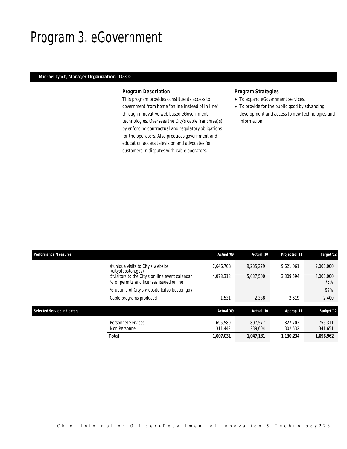## Program 3. eGovernment

## *Michael Lynch, Manager Organization: 149300*

### *Program Description*

This program provides constituents access to government from home "online instead of in line" through innovative web based eGovernment technologies. Oversees the City's cable franchise(s) by enforcing contractual and regulatory obligations for the operators. Also produces government and education access television and advocates for customers in disputes with cable operators.

## *Program Strategies*

- To expand eGovernment services.
- To provide for the public good by advancing development and access to new technologies and information.

| <b>Performance Measures</b>                                                                                                                           | Actual '09             | Actual '10             | Projected '11          | Target '12                    |
|-------------------------------------------------------------------------------------------------------------------------------------------------------|------------------------|------------------------|------------------------|-------------------------------|
| # unique visits to City's website<br>(cityofboston.gov)<br># visitors to the City's on-line event calendar<br>% of permits and licenses issued online | 7.646.708<br>4.078.318 | 9.235.279<br>5.037.500 | 9.621.061<br>3.309.594 | 9,000,000<br>4,000,000<br>75% |
| % uptime of City's website (cityofboston.gov)                                                                                                         |                        |                        |                        | 99%                           |
| Cable programs produced                                                                                                                               | 1,531                  | 2.388                  | 2.619                  | 2,400                         |
| <b>Selected Service Indicators</b>                                                                                                                    | Actual '09             | Actual '10             | Approp '11             | <b>Budget '12</b>             |
| <b>Personnel Services</b><br>Non Personnel                                                                                                            | 695.589<br>311.442     | 807.577<br>239,604     | 827.702<br>302.532     | 755.311<br>341,651            |
| Total                                                                                                                                                 | 1,007,031              | 1,047,181              | 1.130.234              | 1,096,962                     |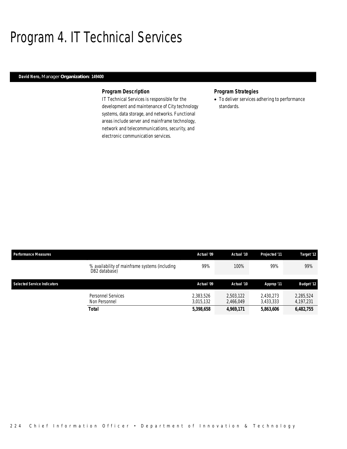## Program 4. IT Technical Services

### *David Nero, Manager Organization: 149400*

### *Program Description*

IT Technical Services is responsible for the development and maintenance of City technology systems, data storage, and networks. Functional areas include server and mainframe technology, network and telecommunications, security, and electronic communication services.

### *Program Strategies*

• To deliver services adhering to performance standards.

| <b>Performance Measures</b>        |                                                                 | Actual '09             | Actual '10             | Projected '11          | Target '12             |
|------------------------------------|-----------------------------------------------------------------|------------------------|------------------------|------------------------|------------------------|
|                                    | % availability of mainframe systems (including<br>DB2 database) | 99%                    | 100%                   | 99%                    | 99%                    |
| <b>Selected Service Indicators</b> |                                                                 | Actual '09             | Actual '10             | Approp '11             | <b>Budget '12</b>      |
|                                    | <b>Personnel Services</b><br>Non Personnel                      | 2,383,526<br>3,015,132 | 2.503.122<br>2,466,049 | 2.430.273<br>3,433,333 | 2,285,524<br>4,197,231 |
|                                    | <b>Total</b>                                                    | 5,398,658              | 4,969,171              | 5,863,606              | 6,482,755              |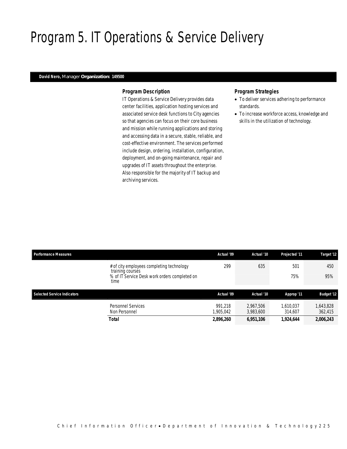## Program 5. IT Operations & Service Delivery

### *David Nero, Manager Organization: 149500*

### *Program Description*

IT Operations & Service Delivery provides data center facilities, application hosting services and associated service desk functions to City agencies so that agencies can focus on their core business and mission while running applications and storing and accessing data in a secure, stable, reliable, and cost-effective environment. The services performed include design, ordering, installation, configuration, deployment, and on-going maintenance, repair and upgrades of IT assets throughout the enterprise. Also responsible for the majority of IT backup and archiving services.

### *Program Strategies*

- To deliver services adhering to performance standards.
- To increase workforce access, knowledge and skills in the utilization of technology.

| <b>Performance Measures</b>        |                                                                                                                        | Actual '09                        | Actual '10                          | Projected '11                     | Target '12                      |
|------------------------------------|------------------------------------------------------------------------------------------------------------------------|-----------------------------------|-------------------------------------|-----------------------------------|---------------------------------|
|                                    | # of city employees completing technology<br>training courses<br>% of IT Service Desk work orders completed on<br>time | 299                               | 635                                 | 501<br>75%                        | 450<br>95%                      |
| <b>Selected Service Indicators</b> |                                                                                                                        | Actual '09                        | Actual '10                          | Approp '11                        | <b>Budget '12</b>               |
|                                    | Personnel Services<br>Non Personnel<br>Total                                                                           | 991.218<br>1,905,042<br>2,896,260 | 2.967.506<br>3,983,600<br>6,951,106 | 1,610,037<br>314,607<br>1,924,644 | 643,828<br>362,415<br>2,006,243 |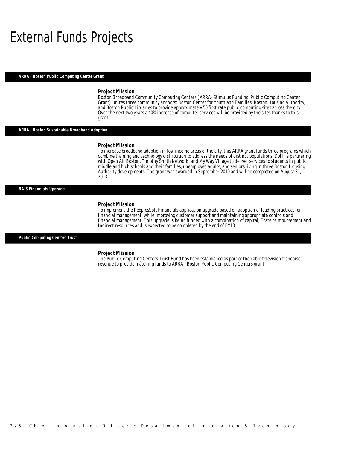## External Funds Projects

#### *ARRA - Boston Public Computing Center Grant*

#### *Project Mission*

Boston Broadband Community Computing Centers (ARRA- Stimulus Funding, Public Computing Center Grant) unites three community anchors: Boston Center for Youth and Families, Boston Housing Authority, and Boston Public Libraries to provide approximately 50 first rate public computing sites across the city. Over the next two years a 40% increase of computer services will be provided by the sites thanks to this grant.

#### *ARRA - Boston Sustainable Broadband Adoption*

#### *Project Mission*

Ì

To increase broadband adoption in low-income areas of the city, this ARRA grant funds three programs which combine training and technology distribution to address the needs of distinct populations. DoIT is partnering with Open Air Boston, Timothy Smith Network, and My Way Village to deliver services to students in public middle and high schools and their families, unemployed adults, and seniors living in three Boston Housing Authority developments. The grant was awarded in September 2010 and will be completed on August 31, 2013.

#### *BAIS Financials Upgrade*

#### *Project Mission*

To implement the PeoplesSoft Financials application upgrade based on adoption of leading practices for financial management, while improving customer support and maintaining appropriate controls and financial management. This upgrade is being funded with a combination of capital, Erate reimbursement and Indirect resources and is expected to be completed by the end of FY13.

#### *Public Computing Centers Trust*

#### *Project Mission*

The Public Computing Centers Trust Fund has been established as part of the cable television franchise revenue to provide matching funds to ARRA - Boston Public Computing Centers grant.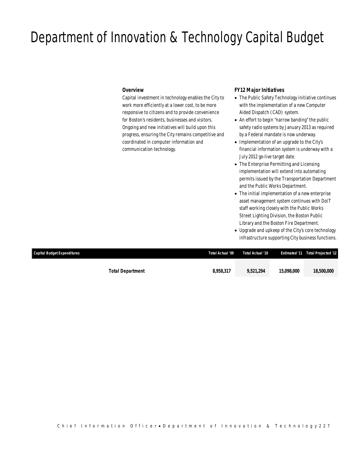## Department of Innovation & Technology Capital Budget

### *Overview*

Capital investment in technology enables the City to work more efficiently at a lower cost, to be more responsive to citizens and to provide convenience for Boston's residents, businesses and visitors. Ongoing and new initiatives will build upon this progress, ensuring the City remains competitive and coordinated in computer information and communication technology.

## *FY12 Major Initiatives*

- The Public Safety Technology initiative continues with the implementation of a new Computer Aided Dispatch (CAD) system.
- An effort to begin "narrow banding" the public safety radio systems by January 2013 as required by a Federal mandate is now underway.
- Implementation of an upgrade to the City's financial information system is underway with a July 2012 go-live target date.
- The Enterprise Permitting and Licensing implementation will extend into automating permits issued by the Transportation Department and the Public Works Department.
- The initial implementation of a new enterprise asset management system continues with DoIT staff working closely with the Public Works Street Lighting Division, the Boston Public Library and the Boston Fire Department.
- Upgrade and upkeep of the City's core technology infrastructure supporting City business functions.

| Capital Budget Expenditures |                         | Total Actual '09 | Total Actual '10 |                          | <b>Estimated '11 Total Projected '12</b> |
|-----------------------------|-------------------------|------------------|------------------|--------------------------|------------------------------------------|
|                             |                         |                  |                  |                          |                                          |
|                             | <b>Total Department</b> | 8.958.317        | 9.521.294        | <i><b>15,098,000</b></i> | <i><b>18,500,000</b></i>                 |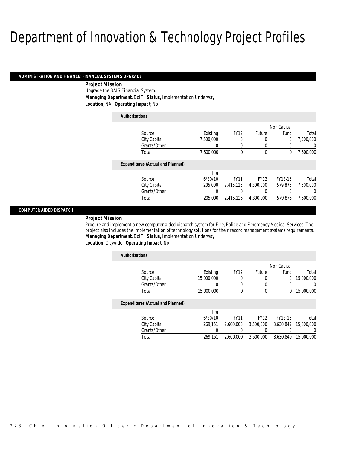### *ADMINISTRATION AND FINANCE: FINANCIAL SYSTEMS UPGRADE*

### *Project Mission*

Upgrade the BAIS Financial System. *Managing Department,* DoIT *Status,* Implementation Underway *Location,* NA *Operating Impact,* No

| <b>Authorizations</b> |                                          |           |             |             |             |           |
|-----------------------|------------------------------------------|-----------|-------------|-------------|-------------|-----------|
|                       |                                          |           |             |             | Non Capital |           |
| Source                |                                          | Existing  | <b>FY12</b> | Future      | Fund        | Total     |
|                       | City Capital                             | 7,500,000 | 0           | 0           | $\mathbf 0$ | 7,500,000 |
|                       | Grants/Other                             | 0         | $\Omega$    | 0           | 0           | 0         |
| Total                 |                                          | 7.500.000 | $\Omega$    | $\theta$    | $^{0}$      | 7.500.000 |
|                       | <b>Expenditures (Actual and Planned)</b> |           |             |             |             |           |
|                       |                                          | Thru      |             |             |             |           |
| Source                |                                          | 6/30/10   | <b>FY11</b> | <b>FY12</b> | FY13-16     | Total     |
|                       | City Capital                             | 205,000   | 2,415,125   | 4.300.000   | 579.875     | 7.500.000 |
|                       | Grants/Other                             | 0         |             | 0           | 0           | $\Omega$  |
| Total                 |                                          | 205,000   | 2,415,125   | 4.300.000   | 579.875     | 7.500.000 |

### *COMPUTER AIDED DISPATCH*

### *Project Mission*

Procure and implement a new computer aided dispatch system for Fire, Police and Emergency Medical Services. The project also includes the implementation of technology solutions for their record management systems requirements. *Managing Department,* DoIT *Status,* Implementation Underway *Location,* Citywide *Operating Impact,* No

| <b>Authorizations</b>                    |            |             |             |             |            |
|------------------------------------------|------------|-------------|-------------|-------------|------------|
|                                          |            |             |             | Non Capital |            |
| Source                                   | Existing   | <b>FY12</b> | Future      | Fund        | Total      |
| City Capital                             | 15,000,000 | 0           | 0           | $\mathbf 0$ | 15,000,000 |
| Grants/Other                             | 0          | 0           | 0           | 0           | 0          |
| Total                                    | 15,000,000 | 0           | 0           | $\theta$    | 15,000,000 |
| <b>Expenditures (Actual and Planned)</b> |            |             |             |             |            |
|                                          | Thru       |             |             |             |            |
| Source                                   | 6/30/10    | <b>FY11</b> | <b>FY12</b> | FY13-16     | Total      |
| City Capital                             | 269.151    | 2.600.000   | 3.500.000   | 8.630.849   | 15,000,000 |
| Grants/Other                             | 0          |             |             |             | $\left($   |
| Total                                    | 269.151    | 2.600.000   | 3,500,000   | 8.630.849   | 15,000,000 |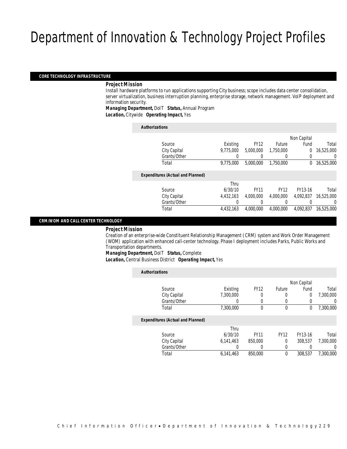#### *CORE TECHNOLOGY INFRASTRUCTURE*

### *Project Mission*

Install hardware platforms to run applications supporting City business; scope includes data center consolidation, server virtualization, business interruption planning, enterprise storage, network management. VoIP deployment and information security.

*Managing Department,* DoIT *Status,* Annual Program

*Location,* Citywide *Operating Impact,* Yes

| <b>Authorizations</b> |                                          |           |             |             |             |            |
|-----------------------|------------------------------------------|-----------|-------------|-------------|-------------|------------|
|                       |                                          |           |             |             | Non Capital |            |
|                       | Source                                   | Existing  | <b>FY12</b> | Future      | Fund        | Total      |
|                       | City Capital                             | 9.775.000 | 5,000,000   | 1,750,000   | 0           | 16,525,000 |
|                       | Grants/Other                             | 0         |             | 0           | 0           | $\left($   |
|                       | Total                                    | 9.775.000 | 5,000,000   | 1.750.000   | 0           | 16,525,000 |
|                       | <b>Expenditures (Actual and Planned)</b> |           |             |             |             |            |
|                       |                                          | Thru      |             |             |             |            |
|                       | Source                                   | 6/30/10   | <b>FY11</b> | <b>FY12</b> | FY13-16     | Total      |
|                       | City Capital                             | 4,432,163 | 4,000,000   | 4.000.000   | 4,092,837   | 16,525,000 |
|                       | Grants/Other                             | 0         | 0           | 0           | 0           | 0          |
|                       | Total                                    | 4.432.163 | 4,000,000   | 4.000.000   | 4.092.837   | 16,525,000 |

### *CRM/WOM AND CALL CENTER TECHNOLOGY*

#### *Project Mission*

Creation of an enterprise-wide Constituent Relationship Management (CRM) system and Work Order Management (WOM) application with enhanced call-center technology. Phase I deployment includes Parks, Public Works and Transportation departments.

*Managing Department,* DoIT *Status,* Complete

*Location,* Central Business District *Operating Impact,* Yes

| <b>Authorizations</b>                    |           |             |             |             |           |
|------------------------------------------|-----------|-------------|-------------|-------------|-----------|
|                                          |           |             |             | Non Capital |           |
| Source                                   | Existing  | <b>FY12</b> | Future      | Fund        | Total     |
| City Capital                             | 7.300.000 | 0           | 0           | $\mathbf 0$ | 7.300.000 |
| Grants/Other                             | 0         | 0           | 0           | 0           | 0         |
| Total                                    | 7,300,000 | 0           | $\mathbf 0$ | $\theta$    | 7.300.000 |
| <b>Expenditures (Actual and Planned)</b> |           |             |             |             |           |
|                                          | Thru      |             |             |             |           |
| Source                                   | 6/30/10   | <b>FY11</b> | <b>FY12</b> | FY13-16     | Total     |
| City Capital                             | 6,141,463 | 850,000     | $\Omega$    | 308.537     | 7.300.000 |
| Grants/Other                             | 0         | 0           | 0           |             | 0         |
| Total                                    | 6.141.463 | 850,000     | $\mathbf 0$ | 308.537     | 7.300.000 |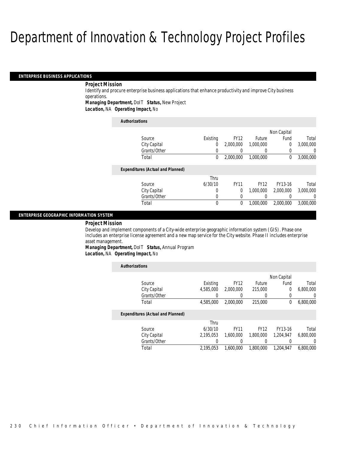#### *ENTERPRISE BUSINESS APPLICATIONS*

### *Project Mission*

Identify and procure enterprise business applications that enhance productivity and improve City business operations.

*Managing Department,* DoIT *Status,* New Project

*Location,* NA *Operating Impact,* No

#### *Authorizations*

|                                          |          |             |             | Non Capital |                |
|------------------------------------------|----------|-------------|-------------|-------------|----------------|
| Source                                   | Existing | <b>FY12</b> | Future      | Fund        | Total          |
| City Capital                             | 0        | 2,000,000   | 1,000,000   | $\Omega$    | 3,000,000      |
| Grants/Other                             | 0        |             |             | 0           | $\overline{0}$ |
| Total                                    | 0        | 2.000.000   | 1.000.000   | $\Omega$    | 3,000,000      |
|                                          |          |             |             |             |                |
| <b>Expenditures (Actual and Planned)</b> |          |             |             |             |                |
|                                          | Thru     |             |             |             |                |
| Source                                   | 6/30/10  | <b>FY11</b> | <b>FY12</b> | FY13-16     | Total          |
| City Capital                             | 0        | 0           | 1.000.000   | 2,000,000   | 3,000,000      |
| Grants/Other                             | 0        | 0           |             |             | $\Omega$       |
| Total                                    | 0        | 0           | 1.000.000   | 2,000,000   | 3,000,000      |
|                                          |          |             |             |             |                |

### *ENTERPRISE GEOGRAPHIC INFORMATION SYSTEM*

### *Project Mission*

Develop and implement components of a City-wide enterprise geographic information system (GIS). Phase one includes an enterprise license agreement and a new map service for the City website. Phase II includes enterprise asset management.

*Managing Department,* DoIT *Status,* Annual Program *Location,* NA *Operating Impact,* No

*Authorizations*

| AUUIVIILAUVIIS |                                          |           |             |             |             |           |
|----------------|------------------------------------------|-----------|-------------|-------------|-------------|-----------|
|                |                                          |           |             |             | Non Capital |           |
|                | Source                                   | Existing  | <b>FY12</b> | Future      | Fund        | Total     |
|                | City Capital                             | 4.585.000 | 2,000,000   | 215,000     | 0           | 6,800,000 |
|                | Grants/Other                             |           |             | 0           |             | 0         |
|                | Total                                    | 4,585,000 | 2,000,000   | 215,000     | 0           | 6,800,000 |
|                | <b>Expenditures (Actual and Planned)</b> |           |             |             |             |           |
|                |                                          | Thru      |             |             |             |           |
|                | Source                                   | 6/30/10   | <b>FY11</b> | <b>FY12</b> | FY13-16     | Total     |
|                | City Capital                             | 2.195.053 | 1.600.000   | 1.800.000   | 1.204.947   | 6.800.000 |
|                | Grants/Other                             | 0         | 0           | 0           |             | $\left($  |
|                | Total                                    | 2.195.053 | 1.600.000   | 1.800.000   | 1.204.947   | 6,800,000 |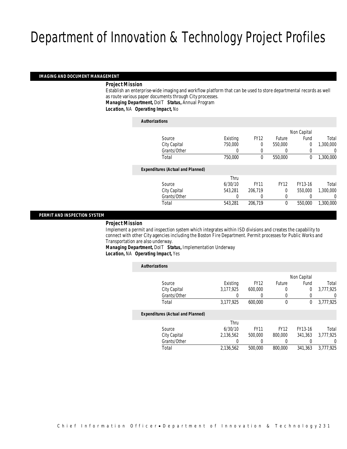#### *IMAGING AND DOCUMENT MANAGEMENT*

### *Project Mission*

Establish an enterprise-wide imaging and workflow platform that can be used to store departmental records as well as route various paper documents through City processes.

*Managing Department,* DoIT *Status,* Annual Program

*Location,* NA *Operating Impact,* No

#### *Authorizations*

|                                          |          |             |             | Non Capital |           |
|------------------------------------------|----------|-------------|-------------|-------------|-----------|
| Source                                   | Existing | <b>FY12</b> | Future      | Fund        | Total     |
| City Capital                             | 750,000  | 0           | 550,000     | $\mathbf 0$ | 1,300,000 |
| Grants/Other                             | 0        | 0           | $\left($    |             | 0         |
| Total                                    | 750,000  | $\theta$    | 550,000     | 0           | 1,300,000 |
| <b>Expenditures (Actual and Planned)</b> |          |             |             |             |           |
|                                          | Thru     |             |             |             |           |
| Source                                   | 6/30/10  | <b>FY11</b> | <b>FY12</b> | FY13-16     | Total     |
| City Capital                             | 543.281  | 206,719     | $\Omega$    | 550,000     | 1,300,000 |
| Grants/Other                             | 0        | 0           | 0           |             | 0         |
| Total                                    | 543,281  | 206,719     | $\theta$    | 550,000     | 1,300,000 |
|                                          |          |             |             |             |           |

#### *PERMIT AND INSPECTION SYSTEM*

### *Project Mission*

Implement a permit and inspection system which integrates within ISD divisions and creates the capability to connect with other City agencies including the Boston Fire Department. Permit processes for Public Works and Transportation are also underway.

*Managing Department,* DoIT *Status,* Implementation Underway *Location,* NA *Operating Impact,* Yes

*Authorizations*

| AUUIVIILUUVIIJ                           |           |             |             |             |           |
|------------------------------------------|-----------|-------------|-------------|-------------|-----------|
|                                          |           |             |             | Non Capital |           |
| Source                                   | Existing  | <b>FY12</b> | Future      | Fund        | Total     |
| City Capital                             | 3,177,925 | 600,000     | 0           | 0           | 3,777,925 |
| Grants/Other                             |           |             | 0           |             | 0         |
| Total                                    | 3,177,925 | 600,000     | 0           | 0           | 3,777,925 |
| <b>Expenditures (Actual and Planned)</b> |           |             |             |             |           |
|                                          | Thru      |             |             |             |           |
| Source                                   | 6/30/10   | <b>FY11</b> | <b>FY12</b> | FY13-16     | Total     |
| City Capital                             | 2.136.562 | 500,000     | 800,000     | 341.363     | 3.777.925 |
| Grants/Other                             |           | 0           | 0           |             | 0         |
| Total                                    | 2,136,562 | 500,000     | 800,000     | 341.363     | 3.777.925 |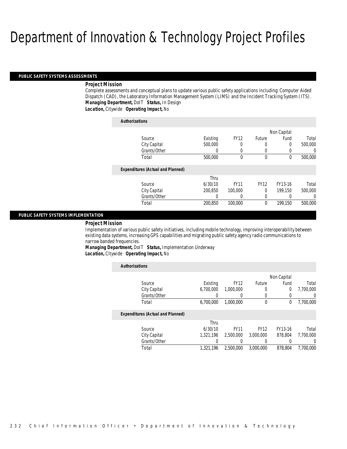#### *PUBLIC SAFETY SYSTEMS ASSESSMENTS*

### *Project Mission*

Complete assessments and conceptual plans to update various public safety applications including: Computer Aided Dispatch (CAD), the Laboratory Information Management System (LIMS) and the Incident Tracking System (ITS). *Managing Department,* DoIT *Status,* In Design

*Location,* Citywide *Operating Impact,* No

| <b>Authorizations</b>                    |          |             |               |             |          |
|------------------------------------------|----------|-------------|---------------|-------------|----------|
|                                          |          |             |               | Non Capital |          |
| Source                                   | Existing | <b>FY12</b> | <b>Future</b> | Fund        | Total    |
| City Capital                             | 500,000  | 0           | 0             | 0           | 500,000  |
| Grants/Other                             | 0        | $\left($    | 0             |             | $\Omega$ |
| Total                                    | 500,000  | 0           | $\theta$      | $\Omega$    | 500,000  |
| <b>Expenditures (Actual and Planned)</b> |          |             |               |             |          |
|                                          | Thru     |             |               |             |          |
| Source                                   | 6/30/10  | <b>FY11</b> | <b>FY12</b>   | FY13-16     | Total    |
| City Capital                             | 200.850  | 100,000     | 0             | 199.150     | 500,000  |
| Grants/Other                             | 0        | 0           | 0             |             | 0        |
| Total                                    | 200.850  | 100,000     | 0             | 199,150     | 500,000  |

#### *PUBLIC SAFETY SYSTEMS IMPLEMENTATION*

#### *Project Mission*

Implementation of various public safety initiatives, including mobile technology, improving interoperability between existing data systems, increasing GPS capabilities and migrating public safety agency radio communications to narrow banded frequencies.

*Managing Department,* DoIT *Status,* Implementation Underway *Location,* Citywide *Operating Impact,* No

| <b>Authorizations</b>                    |           |             |             |             |           |
|------------------------------------------|-----------|-------------|-------------|-------------|-----------|
|                                          |           |             |             | Non Capital |           |
| Source                                   | Existing  | <b>FY12</b> | Future      | Fund        | Total     |
| City Capital                             | 6.700.000 | 1,000,000   | 0           | 0           | 7,700,000 |
| Grants/Other                             |           | 0           |             |             | $\left($  |
| Total                                    | 6,700,000 | 1,000,000   | 0           | 0           | 7,700,000 |
| <b>Expenditures (Actual and Planned)</b> |           |             |             |             |           |
|                                          | Thru      |             |             |             |           |
| Source                                   | 6/30/10   | <b>FY11</b> | <b>FY12</b> | FY13-16     | Total     |
| City Capital                             | 1.321.196 | 2.500.000   | 3,000,000   | 878.804     | 7.700.000 |
| Grants/Other                             |           | 0           |             | O           | $\left($  |
| Total                                    | 1,321,196 | 2.500.000   | 3,000,000   | 878,804     | 7.700.000 |